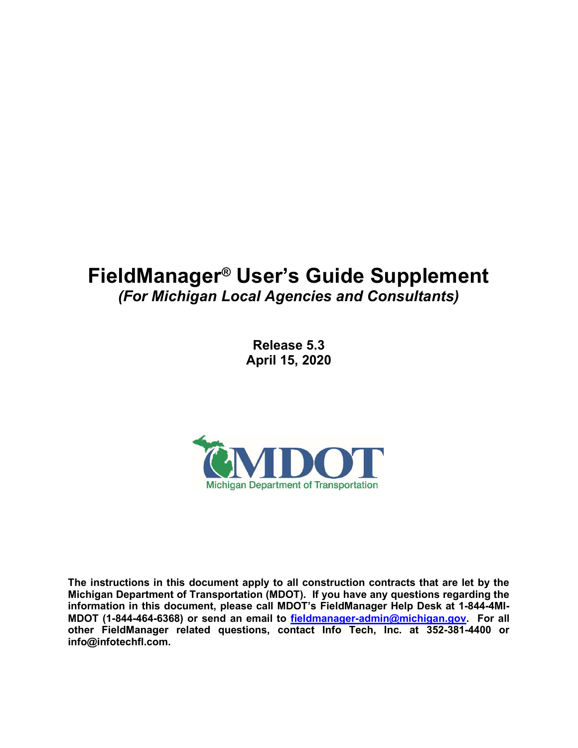# FieldManager® User's Guide Supplement (For Michigan Local Agencies and Consultants)

Release 5.3 April 15, 2020



The instructions in this document apply to all construction contracts that are let by the Michigan Department of Transportation (MDOT). If you have any questions regarding the information in this document, please call MDOT's FieldManager Help Desk at 1-844-4MI-MDOT (1-844-464-6368) or send an email to fieldmanager-admin@michigan.gov. For all other FieldManager related questions, contact Info Tech, Inc. at 352-381-4400 or info@infotechfl.com.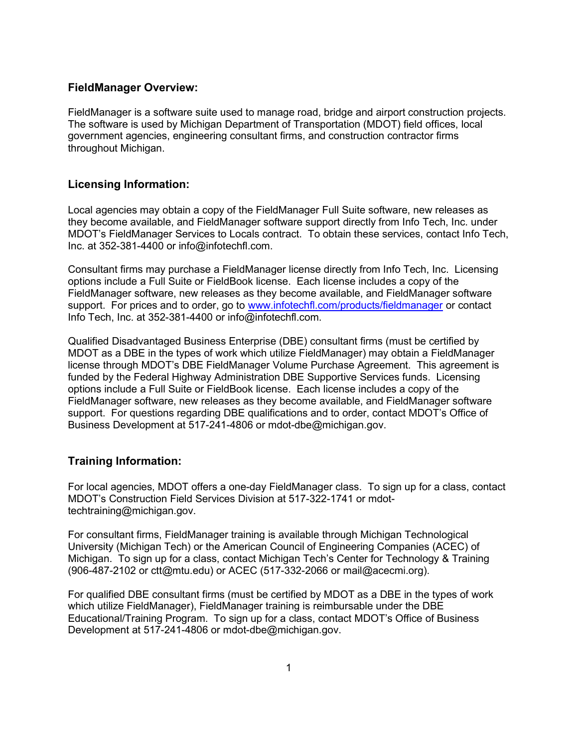## FieldManager Overview:

FieldManager is a software suite used to manage road, bridge and airport construction projects. The software is used by Michigan Department of Transportation (MDOT) field offices, local government agencies, engineering consultant firms, and construction contractor firms throughout Michigan.

## Licensing Information:

Local agencies may obtain a copy of the FieldManager Full Suite software, new releases as they become available, and FieldManager software support directly from Info Tech, Inc. under MDOT's FieldManager Services to Locals contract. To obtain these services, contact Info Tech, Inc. at 352-381-4400 or info@infotechfl.com.

Consultant firms may purchase a FieldManager license directly from Info Tech, Inc. Licensing options include a Full Suite or FieldBook license. Each license includes a copy of the FieldManager software, new releases as they become available, and FieldManager software support. For prices and to order, go to www.infotechfl.com/products/fieldmanager or contact Info Tech, Inc. at 352-381-4400 or info@infotechfl.com.

Qualified Disadvantaged Business Enterprise (DBE) consultant firms (must be certified by MDOT as a DBE in the types of work which utilize FieldManager) may obtain a FieldManager license through MDOT's DBE FieldManager Volume Purchase Agreement. This agreement is funded by the Federal Highway Administration DBE Supportive Services funds. Licensing options include a Full Suite or FieldBook license. Each license includes a copy of the FieldManager software, new releases as they become available, and FieldManager software support. For questions regarding DBE qualifications and to order, contact MDOT's Office of Business Development at 517-241-4806 or mdot-dbe@michigan.gov.

## Training Information:

For local agencies, MDOT offers a one-day FieldManager class. To sign up for a class, contact MDOT's Construction Field Services Division at 517-322-1741 or mdottechtraining@michigan.gov.

For consultant firms, FieldManager training is available through Michigan Technological University (Michigan Tech) or the American Council of Engineering Companies (ACEC) of Michigan. To sign up for a class, contact Michigan Tech's Center for Technology & Training (906-487-2102 or ctt@mtu.edu) or ACEC (517-332-2066 or mail@acecmi.org).

For qualified DBE consultant firms (must be certified by MDOT as a DBE in the types of work which utilize FieldManager), FieldManager training is reimbursable under the DBE Educational/Training Program. To sign up for a class, contact MDOT's Office of Business Development at 517-241-4806 or mdot-dbe@michigan.gov.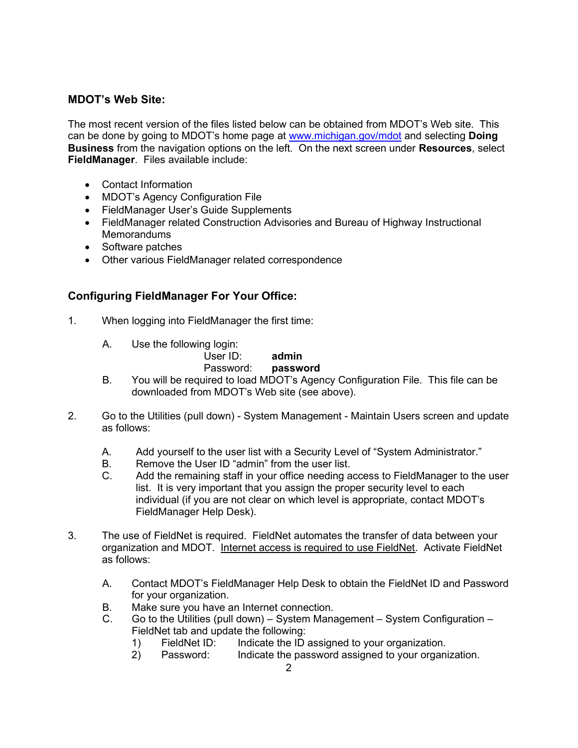# MDOT's Web Site:

The most recent version of the files listed below can be obtained from MDOT's Web site. This can be done by going to MDOT's home page at www.michigan.gov/mdot and selecting Doing **Business** from the navigation options on the left. On the next screen under **Resources**, select FieldManager. Files available include:

- Contact Information
- MDOT's Agency Configuration File
- FieldManager User's Guide Supplements
- FieldManager related Construction Advisories and Bureau of Highway Instructional **Memorandums**
- Software patches
- Other various FieldManager related correspondence

# Configuring FieldManager For Your Office:

- 1. When logging into FieldManager the first time:
	- A. Use the following login:

#### User ID: admin Password: **password**

- B. You will be required to load MDOT's Agency Configuration File. This file can be downloaded from MDOT's Web site (see above).
- 2. Go to the Utilities (pull down) System Management Maintain Users screen and update as follows:
	- A. Add yourself to the user list with a Security Level of "System Administrator."
	- B. Remove the User ID "admin" from the user list.
	- C. Add the remaining staff in your office needing access to FieldManager to the user list. It is very important that you assign the proper security level to each individual (if you are not clear on which level is appropriate, contact MDOT's FieldManager Help Desk).
- 3. The use of FieldNet is required. FieldNet automates the transfer of data between your organization and MDOT. Internet access is required to use FieldNet. Activate FieldNet as follows:
	- A. Contact MDOT's FieldManager Help Desk to obtain the FieldNet ID and Password for your organization.
	- B. Make sure you have an Internet connection.
	- C. Go to the Utilities (pull down) System Management System Configuration FieldNet tab and update the following:
		- 1) FieldNet ID: Indicate the ID assigned to your organization.
		- 2) Password: Indicate the password assigned to your organization.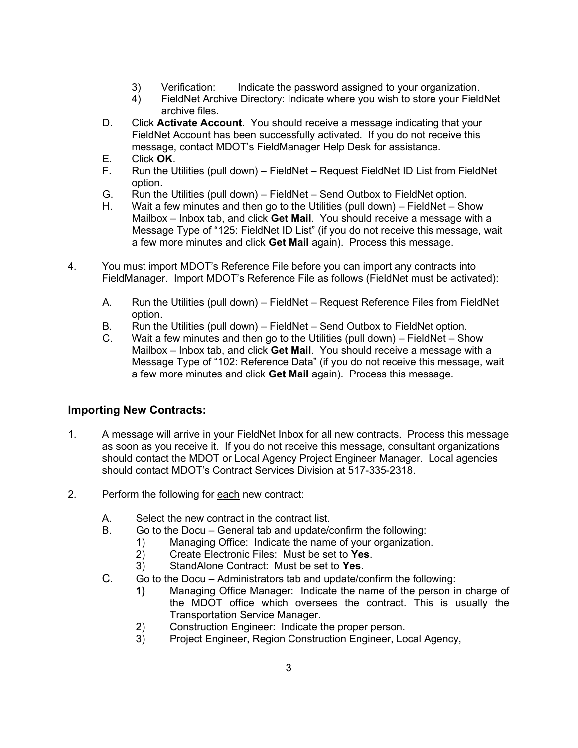- 3) Verification: Indicate the password assigned to your organization.
- 4) FieldNet Archive Directory: Indicate where you wish to store your FieldNet archive files.
- D. Click **Activate Account**. You should receive a message indicating that your FieldNet Account has been successfully activated. If you do not receive this message, contact MDOT's FieldManager Help Desk for assistance.
- E. Click OK.
- F. Run the Utilities (pull down) FieldNet Request FieldNet ID List from FieldNet option.
- G. Run the Utilities (pull down) FieldNet Send Outbox to FieldNet option.
- H. Wait a few minutes and then go to the Utilities (pull down) FieldNet Show Mailbox – Inbox tab, and click Get Mail. You should receive a message with a Message Type of "125: FieldNet ID List" (if you do not receive this message, wait a few more minutes and click Get Mail again). Process this message.
- 4. You must import MDOT's Reference File before you can import any contracts into FieldManager. Import MDOT's Reference File as follows (FieldNet must be activated):
	- A. Run the Utilities (pull down) FieldNet Request Reference Files from FieldNet option.
	- B. Run the Utilities (pull down) FieldNet Send Outbox to FieldNet option.
	- C. Wait a few minutes and then go to the Utilities (pull down) FieldNet Show Mailbox – Inbox tab, and click Get Mail. You should receive a message with a Message Type of "102: Reference Data" (if you do not receive this message, wait a few more minutes and click Get Mail again). Process this message.

# Importing New Contracts:

- 1. A message will arrive in your FieldNet Inbox for all new contracts. Process this message as soon as you receive it. If you do not receive this message, consultant organizations should contact the MDOT or Local Agency Project Engineer Manager. Local agencies should contact MDOT's Contract Services Division at 517-335-2318.
- 2. Perform the following for each new contract:
	- A. Select the new contract in the contract list.
	- B. Go to the Docu General tab and update/confirm the following:
		- 1) Managing Office: Indicate the name of your organization.
			- 2) Create Electronic Files: Must be set to Yes.
			- 3) StandAlone Contract: Must be set to Yes.
	- C. Go to the Docu Administrators tab and update/confirm the following:
		- 1) Managing Office Manager: Indicate the name of the person in charge of the MDOT office which oversees the contract. This is usually the Transportation Service Manager.
		- 2) Construction Engineer: Indicate the proper person.
		- 3) Project Engineer, Region Construction Engineer, Local Agency,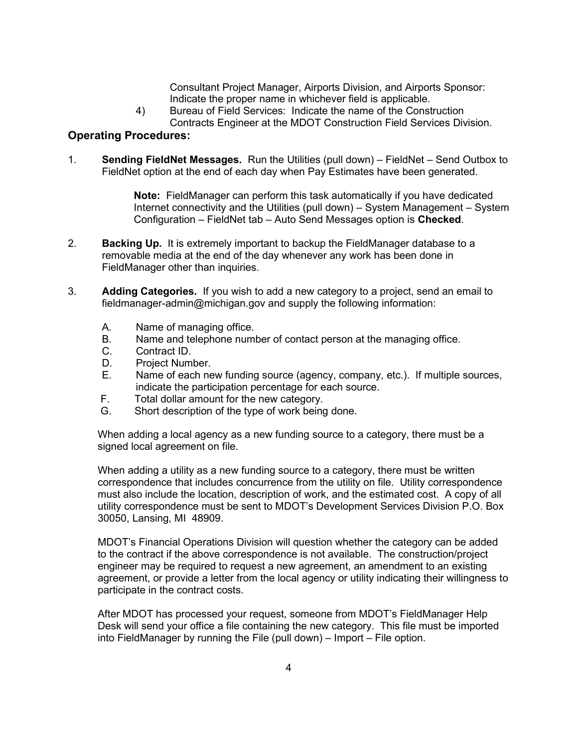Consultant Project Manager, Airports Division, and Airports Sponsor: Indicate the proper name in whichever field is applicable.

4) Bureau of Field Services: Indicate the name of the Construction Contracts Engineer at the MDOT Construction Field Services Division.

## Operating Procedures:

1. Sending FieldNet Messages. Run the Utilities (pull down) – FieldNet – Send Outbox to FieldNet option at the end of each day when Pay Estimates have been generated.

> Note: FieldManager can perform this task automatically if you have dedicated Internet connectivity and the Utilities (pull down) – System Management – System Configuration – FieldNet tab – Auto Send Messages option is Checked.

- 2. **Backing Up.** It is extremely important to backup the FieldManager database to a removable media at the end of the day whenever any work has been done in FieldManager other than inquiries.
- 3. Adding Categories. If you wish to add a new category to a project, send an email to fieldmanager-admin@michigan.gov and supply the following information:
	- A. Name of managing office.
	- B. Name and telephone number of contact person at the managing office.
	- C. Contract ID.
	- D. Project Number.
	- E. Name of each new funding source (agency, company, etc.). If multiple sources, indicate the participation percentage for each source.
	- F. Total dollar amount for the new category.
	- G. Short description of the type of work being done.

When adding a local agency as a new funding source to a category, there must be a signed local agreement on file.

When adding a utility as a new funding source to a category, there must be written correspondence that includes concurrence from the utility on file. Utility correspondence must also include the location, description of work, and the estimated cost. A copy of all utility correspondence must be sent to MDOT's Development Services Division P.O. Box 30050, Lansing, MI 48909.

MDOT's Financial Operations Division will question whether the category can be added to the contract if the above correspondence is not available. The construction/project engineer may be required to request a new agreement, an amendment to an existing agreement, or provide a letter from the local agency or utility indicating their willingness to participate in the contract costs.

After MDOT has processed your request, someone from MDOT's FieldManager Help Desk will send your office a file containing the new category. This file must be imported into FieldManager by running the File (pull down) – Import – File option.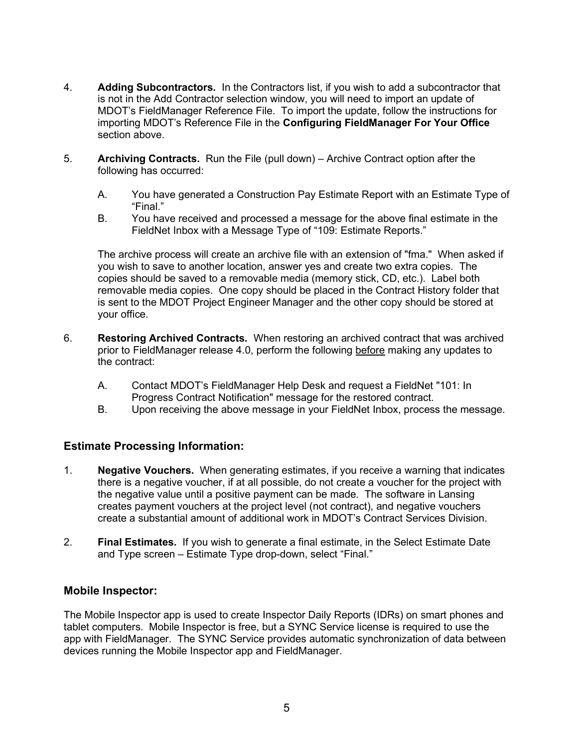- 4. Adding Subcontractors. In the Contractors list, if you wish to add a subcontractor that is not in the Add Contractor selection window, you will need to import an update of MDOT's FieldManager Reference File. To import the update, follow the instructions for importing MDOT's Reference File in the Configuring FieldManager For Your Office section above.
- 5. Archiving Contracts. Run the File (pull down) Archive Contract option after the following has occurred:
	- A. You have generated a Construction Pay Estimate Report with an Estimate Type of "Final."
	- B. You have received and processed a message for the above final estimate in the FieldNet Inbox with a Message Type of "109: Estimate Reports."

 The archive process will create an archive file with an extension of "fma." When asked if you wish to save to another location, answer yes and create two extra copies. The copies should be saved to a removable media (memory stick, CD, etc.). Label both removable media copies. One copy should be placed in the Contract History folder that is sent to the MDOT Project Engineer Manager and the other copy should be stored at your office.

- 6. Restoring Archived Contracts. When restoring an archived contract that was archived prior to FieldManager release 4.0, perform the following before making any updates to the contract:
	- A. Contact MDOT's FieldManager Help Desk and request a FieldNet "101: In Progress Contract Notification" message for the restored contract.
	- B. Upon receiving the above message in your FieldNet Inbox, process the message.

## Estimate Processing Information:

- 1. Negative Vouchers. When generating estimates, if you receive a warning that indicates there is a negative voucher, if at all possible, do not create a voucher for the project with the negative value until a positive payment can be made. The software in Lansing creates payment vouchers at the project level (not contract), and negative vouchers create a substantial amount of additional work in MDOT's Contract Services Division.
- 2. **Final Estimates.** If you wish to generate a final estimate, in the Select Estimate Date and Type screen – Estimate Type drop-down, select "Final."

# Mobile Inspector:

The Mobile Inspector app is used to create Inspector Daily Reports (IDRs) on smart phones and tablet computers. Mobile Inspector is free, but a SYNC Service license is required to use the app with FieldManager. The SYNC Service provides automatic synchronization of data between devices running the Mobile Inspector app and FieldManager.